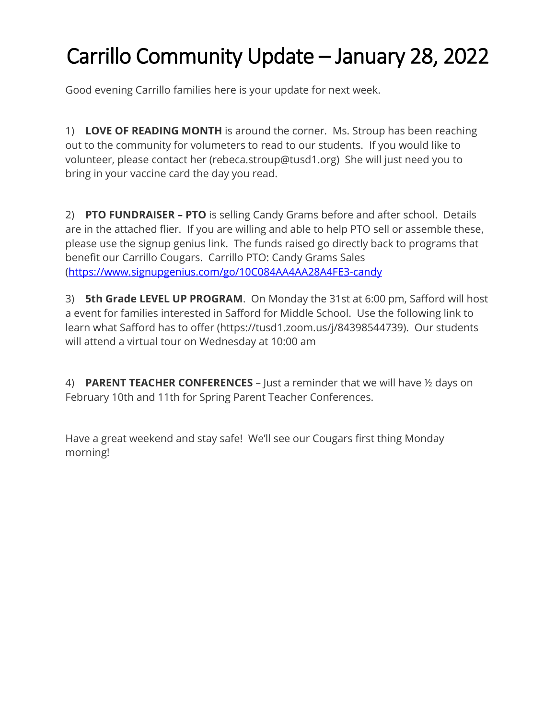## Carrillo Community Update – January 28, 2022

Good evening Carrillo families here is your update for next week.

1) **LOVE OF READING MONTH** is around the corner. Ms. Stroup has been reaching out to the community for volumeters to read to our students. If you would like to volunteer, please contact her (rebeca.stroup@tusd1.org) She will just need you to bring in your vaccine card the day you read.

2) **PTO FUNDRAISER – PTO** is selling Candy Grams before and after school. Details are in the attached flier. If you are willing and able to help PTO sell or assemble these, please use the signup genius link. The funds raised go directly back to programs that benefit our Carrillo Cougars. Carrillo PTO: Candy Grams Sales [\(https://www.signupgenius.com/go/10C084AA4AA28A4FE3-candy](https://www.signupgenius.com/go/10C084AA4AA28A4FE3-candy)

3) **5th Grade LEVEL UP PROGRAM**. On Monday the 31st at 6:00 pm, Safford will host a event for families interested in Safford for Middle School. Use the following link to learn what Safford has to offer (https://tusd1.zoom.us/j/84398544739). Our students will attend a virtual tour on Wednesday at 10:00 am

4) **PARENT TEACHER CONFERENCES** – Just a reminder that we will have ½ days on February 10th and 11th for Spring Parent Teacher Conferences.

Have a great weekend and stay safe! We'll see our Cougars first thing Monday morning!